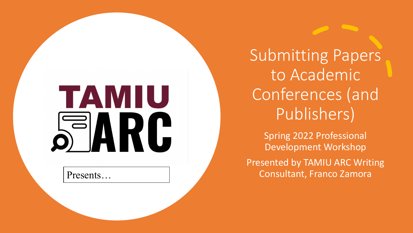## TAMIU S ARI C

Submitting Papers to Academic Conferences (and Publishers)

Spring 2022 Professional Development Workshop Presented by TAMIU ARC Writing Presents… **Consultant, Franco Zamora**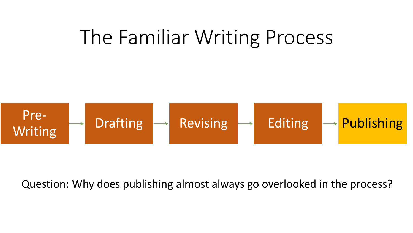#### The Familiar Writing Process



Question: Why does publishing almost always go overlooked in the process?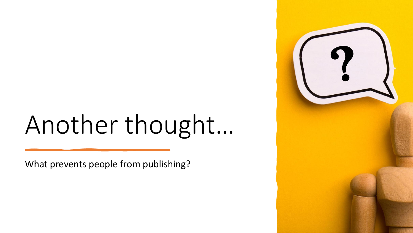# Another thought…

What prevents people from publishing?

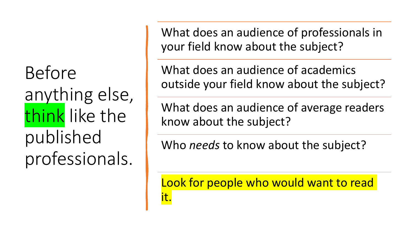Before anything else, think like the published professionals.

What does an audience of professionals in your field know about the subject?

What does an audience of academics outside your field know about the subject?

What does an audience of average readers know about the subject?

Who *needs* to know about the subject?

Look for people who would want to read it.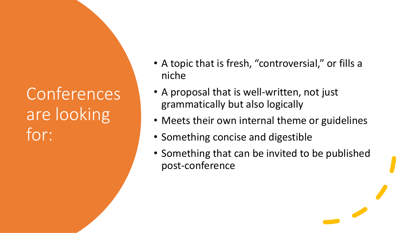**Conferences** are looking for:

- A topic that is fresh, "controversial," or fills a niche
- A proposal that is well-written, not just grammatically but also logically
- Meets their own internal theme or guidelines
- Something concise and digestible
- Something that can be invited to be published post-conference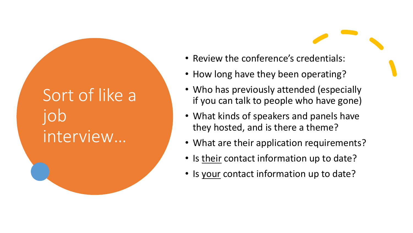#### Sort of like a job interview…

- Review the conference's credentials:
- How long have they been operating?
- Who has previously attended (especially if you can talk to people who have gone)
- What kinds of speakers and panels have they hosted, and is there a theme?
- What are their application requirements?
- Is their contact information up to date?
- Is your contact information up to date?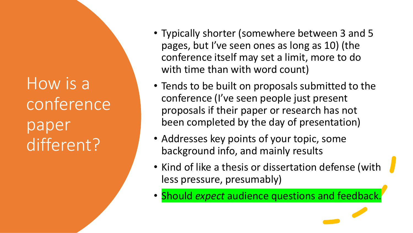How is a conference paper different?

- Typically shorter (somewhere between 3 and 5 pages, but I've seen ones as long as 10) (the conference itself may set a limit, more to do with time than with word count)
- Tends to be built on proposals submitted to the conference (I've seen people just present proposals if their paper or research has not been completed by the day of presentation)
- Addresses key points of your topic, some background info, and mainly results
- Kind of like a thesis or dissertation defense (with less pressure, presumably)
- Should *expect* audience questions and feedback.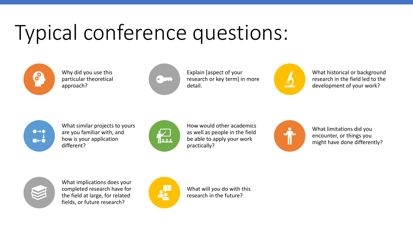## Typical conference questions:



Why did you use this particular theoretical approach?



Explain [aspect of your research or key term] in more detail.



What historical or background research in the field led to the development of your work?



What similar projects to yours are you familiar with, and how is your application different?



How would other academics as well as people in the field be able to apply your work practically?



What limitations did you encounter, or things you might have done differently?



What implications does your completed research have for the field at large, for related fields, or future research?



What will *you* do with this research in the future?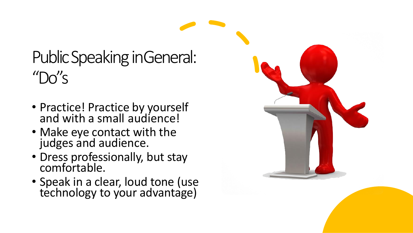#### Public Speaking inGeneral:  $^{\prime\prime}$ Do"s

- Practice! Practice by yourself and with a small audience!
- Make eye contact with the judges and audience.
- · Dress professionally, but stay comfortable.
- Speak in a clear, loud tone (use technology to your advantage)

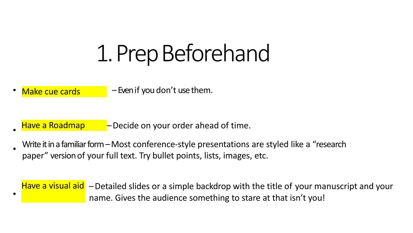## 1. PrepBeforehand

Make cue cards  $\blacksquare$  – Even if you don't use them.

•

- Have a Roadmap Decide on your order ahead of time. •
- Write it in a familiar form - Most conference-style presentations are styled like a "research paper" version of your full text. Try bullet points, lists, images, etc.

Have a visual aid – Detailed slides or a simple backdrop with the title of your manuscript and your name. Gives the audience something to stare at that isn't you!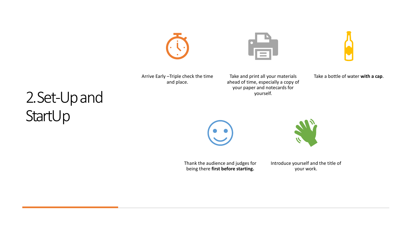Arrive Early –Triple check the time and place.

Take and print all your materials ahead of time, especially a copy of your paper and notecards for yourself.



#### 2. Set-Up and **StartUp**





Thank the audience and judges for being there **first before starting.**

Introduce yourself and the title of your work.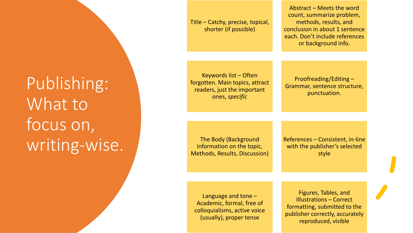Publishing: What to focus on, writing-wise. Title – Catchy, precise, topical, shorter (if possible)

Abstract – Meets the word count, summarize problem, methods, results, and conclusion in about 1 sentence each. Don't include references or background info.

Keywords list – Often forgotten. Main topics, attract readers, just the important ones, *specific*

Proofreading/Editing – Grammar, sentence structure, punctuation.

The Body (Background information on the topic, Methods, Results, Discussion) References – Consistent, in-line with the publisher's selected style

Language and tone – Academic, formal, free of colloquialisms, active voice (usually), proper tense

Figures, Tables, and Illustrations – Correct formatting, submitted to the publisher correctly, accurately reproduced, visible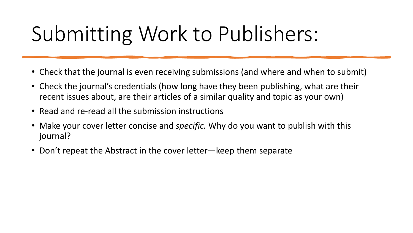## Submitting Work to Publishers:

- Check that the journal is even receiving submissions (and where and when to submit)
- Check the journal's credentials (how long have they been publishing, what are their recent issues about, are their articles of a similar quality and topic as your own)
- Read and re-read all the submission instructions
- Make your cover letter concise and *specific.* Why do you want to publish with this journal?
- Don't repeat the Abstract in the cover letter—keep them separate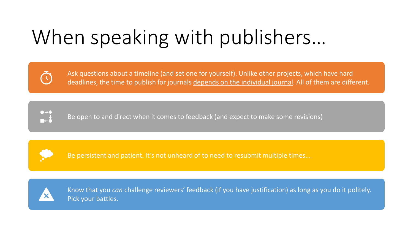## When speaking with publishers…



Ask questions about a timeline (and set one for yourself). Unlike other projects, which have hard deadlines, the time to publish for journals depends on the individual journal. All of them are different.



Be open to and direct when it comes to feedback (and expect to make some revisions)



Be persistent and patient. It's not unheard of to need to resubmit multiple times…



Know that you *can* challenge reviewers' feedback (if you have justification) as long as you do it politely. Pick your battles.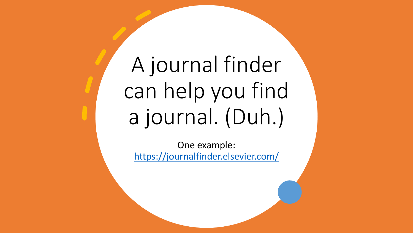A journal finder can help you find a journal. (Duh.)

One example: <https://journalfinder.elsevier.com/>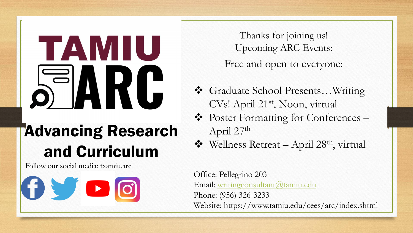## TAMIU 5 A R  $\overline{\mathsf{L}}$

#### Advancing Research and Curriculum

Follow our social media: txamiu.arc

Œ

Thanks for joining us! Upcoming ARC Events:

Free and open to everyone:

- ❖ Graduate School Presents…Writing CVs! April 21st, Noon, virtual
- ❖ Poster Formatting for Conferences April 27th
- ❖ Wellness Retreat April 28th, virtual

Office: Pellegrino 203 Email: [writingconsultant@tamiu.edu](mailto:writingconsultant@tamiu.edu) Phone: (956) 326-3233 Website: https://www.tamiu.edu/cees/arc/index.shtml